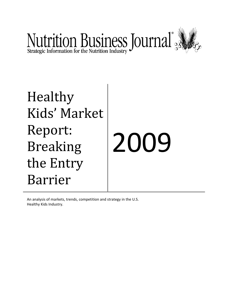

## Healthy Kids' Market Report: Breaking the Entry Barrier 2009

An analysis of markets, trends, competition and strategy in the U.S. Healthy Kids Industry.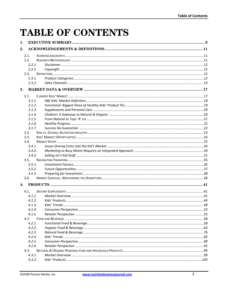## **TABLE OF CONTENTS**

| 1. |        |  |
|----|--------|--|
| 2. |        |  |
|    | 2.1.   |  |
|    | 2.2.   |  |
|    | 2.2.1  |  |
|    | 2.2.2. |  |
|    | 2.3.   |  |
|    | 2.3.1. |  |
|    | 2.3.2. |  |
| 3. |        |  |
|    | 3.1.   |  |
|    | 3.1.1. |  |
|    | 3.1.2. |  |
|    | 3.1.3. |  |
|    | 3.1.4. |  |
|    | 3.1.5. |  |
|    | 3.1.6. |  |
|    | 3.1.7. |  |
|    | 3.2.   |  |
|    | 3.3.   |  |
|    | 3.4.   |  |
|    | 3.4.1. |  |
|    | 3.4.2. |  |
|    | 3.4.3. |  |
|    | 3.5.   |  |
|    | 3.5.1. |  |
|    | 3.5.2. |  |
|    | 3.5.3. |  |
|    | 3.6.   |  |
| 4. |        |  |
|    | 4.1.   |  |
|    | 4.1.1. |  |
|    | 4.1.2. |  |
|    | 4.1.3. |  |
|    | 4.1.4. |  |
|    | 4.1.5. |  |
|    | 4.2.   |  |
|    | 4.2.1. |  |
|    | 4.2.2. |  |
|    | 4.2.3. |  |
|    | 4.2.4. |  |
|    | 4.2.5. |  |
|    | 4.2.6. |  |
|    | 4.3.   |  |
|    | 4.3.1. |  |
|    | 4.3.2. |  |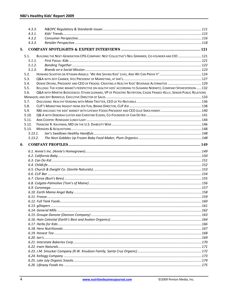|    | 4.3.3.  |                                                                                                                     |  |
|----|---------|---------------------------------------------------------------------------------------------------------------------|--|
|    | 4.3.1.  |                                                                                                                     |  |
|    | 4.3.2.  |                                                                                                                     |  |
|    | 4.3.3.  |                                                                                                                     |  |
| 5. |         |                                                                                                                     |  |
|    | 5.1.    | BUILDING THE NEXT-GENERATION CPG COMPANY: NEST COLLECTIVE'S NEIL GRIMMER, CO-FOUNDER AND CIO  121                   |  |
|    | 5.1.1.  |                                                                                                                     |  |
|    | 5.1.2.  |                                                                                                                     |  |
|    | 5.1.3.  |                                                                                                                     |  |
|    | 5.2.    |                                                                                                                     |  |
|    | 5.3.    |                                                                                                                     |  |
|    | 5.4.    | DENISE DEVINE, PRESIDENT AND CEO OF FROOSE: CREATING A HEALTHY KIDS' BEVERAGE ALTERNATIVE  129                      |  |
|    | 5.5.    | KELLOGG: THE ICONIC BRAND'S PERSPECTIVE ON HEALTHY KIDS' ACCORDING TO SUSANNE NORWITZ, COMPANY SPOKESPERSON132      |  |
|    | 5.6.    | Q&A WITH MARTEK BIOSCIENCES: ETHAN LEONARD, VP OF PEDIATRIC NUTRITION; CASSIE FRANCE-KELLY, SENIOR PUBLIC RELATIONS |  |
|    |         |                                                                                                                     |  |
|    | 5.7.    |                                                                                                                     |  |
|    | 5.8.    |                                                                                                                     |  |
|    | 5.9.    |                                                                                                                     |  |
|    | 5.10.   |                                                                                                                     |  |
|    | 5.11.   |                                                                                                                     |  |
|    | 5.12.   |                                                                                                                     |  |
|    | 5.13.   |                                                                                                                     |  |
|    | 5.13.1. |                                                                                                                     |  |
|    | 5.13.2. |                                                                                                                     |  |
| 6. |         |                                                                                                                     |  |
|    |         |                                                                                                                     |  |
|    |         |                                                                                                                     |  |
|    |         |                                                                                                                     |  |
|    |         |                                                                                                                     |  |
|    |         |                                                                                                                     |  |
|    |         |                                                                                                                     |  |
|    |         |                                                                                                                     |  |
|    |         |                                                                                                                     |  |
|    |         |                                                                                                                     |  |
|    |         |                                                                                                                     |  |
|    |         |                                                                                                                     |  |
|    |         |                                                                                                                     |  |
|    |         |                                                                                                                     |  |
|    |         |                                                                                                                     |  |
|    |         |                                                                                                                     |  |
|    |         |                                                                                                                     |  |
|    |         |                                                                                                                     |  |
|    |         |                                                                                                                     |  |
|    |         |                                                                                                                     |  |
|    |         |                                                                                                                     |  |
|    |         |                                                                                                                     |  |
|    |         |                                                                                                                     |  |
|    |         |                                                                                                                     |  |
|    |         |                                                                                                                     |  |
|    |         |                                                                                                                     |  |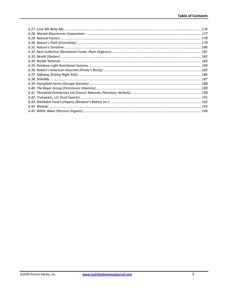| 178  |
|------|
| .179 |
|      |
|      |
|      |
|      |
|      |
|      |
|      |
|      |
|      |
|      |
|      |
|      |
|      |
| 193  |
|      |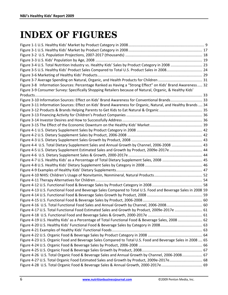## **INDEX OF FIGURES**

| Figure 3-4 U.S. Total Nutrition Industry vs. Healthy Kids' Sales by Product Category in 2008  23              |  |
|---------------------------------------------------------------------------------------------------------------|--|
| Figure 3-5 U.S. Healthy Kids' Product Sales Compared to Total U.S. Product Sales in 2008 24                   |  |
|                                                                                                               |  |
|                                                                                                               |  |
| Figure 3-8 Information Sources: Percentage Ranked as Having a "Strong Effect" on Kids' Brand Awareness 32     |  |
| Figure 3-9 Consumer Survey: Specifically Shopping Retailers because of Natural, Organic, & Healthy Kids'      |  |
|                                                                                                               |  |
| Figure 3-10 Information Sources: Effect on Kids' Brand Awareness for Conventional Brands 33                   |  |
| Figure 3-11 Information Sources: Effect on Kids' Brand Awareness for Organic, Natural, and Healthy Brands  34 |  |
|                                                                                                               |  |
|                                                                                                               |  |
|                                                                                                               |  |
|                                                                                                               |  |
|                                                                                                               |  |
|                                                                                                               |  |
|                                                                                                               |  |
| Figure 4-4 U.S. Total Dietary Supplement Sales and Annual Growth by Channel, 2006-2008  43                    |  |
| Figure 4-5 U.S. Dietary Supplement Estimated Sales and Growth by Product, 2009e-2017e  44                     |  |
|                                                                                                               |  |
| Figure 4-7 U.S. Healthy Kids' as a Percentage of Total Dietary Supplement Sales, 2008  45                     |  |
|                                                                                                               |  |
|                                                                                                               |  |
|                                                                                                               |  |
|                                                                                                               |  |
|                                                                                                               |  |
| Figure 4-13 U.S. Functional Food and Beverage Sales Compared to Total U.S. Food and Beverage Sales in 2008 59 |  |
|                                                                                                               |  |
|                                                                                                               |  |
| Figure 4-16 U.S. Total Functional Food Sales and Annual Growth by Channel, 2006-2008 60                       |  |
| Figure 4-17 U.S. Total Functional Food Estimated Sales and Growth by Product, 2009e-2017e  61                 |  |
|                                                                                                               |  |
| Figure 4-19 U.S. Healthy Kids' as a Percentage of Total Functional Food & Beverage Sales, 2008  62            |  |
|                                                                                                               |  |
|                                                                                                               |  |
|                                                                                                               |  |
| Figure 4-23 U.S. Organic Food and Beverage Sales Compared to Total U.S. Food and Beverage Sales in 2008  65   |  |
|                                                                                                               |  |
|                                                                                                               |  |
| Figure 4-26 U.S. Total Organic Food & Beverage Sales and Annual Growth by Channel, 2006-2008 67               |  |
| Figure 4-27 U.S. Total Organic Food Estimated Sales and Growth by Product, 2009e-2017e 68                     |  |
|                                                                                                               |  |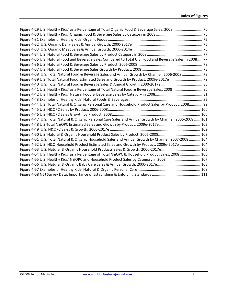| Figure 4-29 U.S. Healthy Kids' as a Percentage of Total Organic Food & Beverage Sales, 2008 70             |  |
|------------------------------------------------------------------------------------------------------------|--|
|                                                                                                            |  |
|                                                                                                            |  |
|                                                                                                            |  |
|                                                                                                            |  |
|                                                                                                            |  |
| Figure 4-35 U.S. Natural Food and Beverage Sales Compared to Total U.S. Food and Beverage Sales in 2008 77 |  |
|                                                                                                            |  |
|                                                                                                            |  |
| Figure 4-38 U.S. Total Natural Food & Beverage Sales and Annual Growth by Channel, 2006-2008 79            |  |
| Figure 4-39 U.S. Total Natural Food Estimated Sales and Growth by Product, 2009e-2017e  79                 |  |
|                                                                                                            |  |
| Figure 4-41 U.S. Healthy Kids' as a Percentage of Total Natural Food & Beverage Sales, 2008 80             |  |
|                                                                                                            |  |
|                                                                                                            |  |
| Figure 4-44 U.S. Total Natural & Organic Personal Care and Household Product Sales by Product, 2008 99     |  |
|                                                                                                            |  |
|                                                                                                            |  |
| Figure 4-47 U.S. Total Natural & Organic Personal Care Sales and Annual Growth by Channel, 2006-2008  101  |  |
| Figure 4-48 U.S.Total N&OPC Estimated Sales and Growth by Product, 2009e-2017e  102                        |  |
|                                                                                                            |  |
|                                                                                                            |  |
| Figure 4-51 U.S. Total Natural & Organic Household Sales and Annual Growth by Channel, 2007-2008  104      |  |
| Figure 4-52 U.S. N&O Household Product Estimated Sales and Growth by Product, 2009e-2017e  104             |  |
| Figure 4-53 U.S. Natural & Organic Household Products Sales & Growth, 2000-2017e 105                       |  |
| Figure 4-54 U.S. Healthy Kids' as a Percentage of Total N&OPC & Household Product Sales, 2008  106         |  |
| Figure 4-55 U.S. Healthy Kids' N&OPC and Household Product Sales by Category in 2008  107                  |  |
|                                                                                                            |  |
|                                                                                                            |  |
|                                                                                                            |  |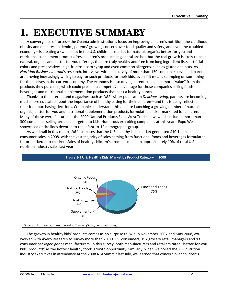## **1. EXECUTIVE SUMMARY**

A convergence of forces—the Obama administration's focus on improving children's nutrition, the childhood obesity and diabetes epidemics, parents' growing concern over food quality and safety, and even the troubled economy—is creating a sweet spot in the U.S. children's market for natural, organic, better-for-you and nutritional supplement products. Yes, children's products in general are hot, but the real growth is likely to be in natural, organic and better-for-you offerings that are truly healthy and free from long ingredient lists, artificial colors and preservatives, high-fructose corn syrup and even common allergens, such as gluten and nuts. As Nutrition Business Journal's research, interviews with and survey of more than 150 companies revealed, parents are proving increasingly willing to pay for such products for their kids, even if it means scrimping on something for themselves in the current economy. The economy is also driving parents to expect more "value" from the products they purchase, which could present a competitive advantage for those companies selling foods, beverages and nutritional supplementation products that pack a healthy punch.

Thanks to the Internet and magazines such as NBJ's sister publication Delicious Living, parents are becoming much more educated about the importance of healthy eating for their children—and this is being reflected in their food purchasing decisions. Companies understand this and are launching a growing number of natural, organic, better-for-you and nutritional supplementation products formulated and/or marketed for children. Many of these were featured at the 2009 Natural Products Expo West Tradeshow, which included more than 300 companies selling products targeted to kids. Numerous exhibiting companies at this year's Expo West showcased entire lines devoted to the infant-to-12 demographic group.

As we detail in this report, NBJ estimates that the U.S. healthy kids' market generated \$10.1 billion in consumer sales in 2008, with the vast majority of sales coming from functional foods and beverages formulated for or marketed to children. Sales of healthy children's products made up approximately 10% of total U.S. nutrition industry sales last year.



The growth in healthy kids' products comes as no surprise to NBJ. In November 2007 and May 2008, NBJ worked with Avero Research to survey more than 2,100 U.S. consumers, 197 grocery retail managers and 93 consumer packaged goods manufacturers. In this survey, both manufacturers and retailers rated "better-for-you kids' products" as the hottest healthy foods growth opportunity. Similarly, when we polled the 250 nutrition industry executives in attendance at the 2008 NBJ Summit last July, we learned that concern over children's

©2009 Penton Media, Inc.